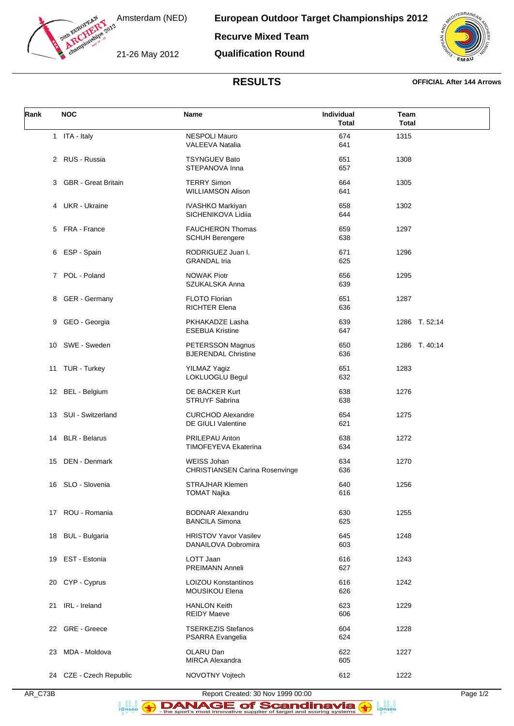

Amsterdam (NED)

**European Outdoor Target Championships 2012 Recurve Mixed Team**

21-26 May 2012

**Qualification Round**



## **RESULTS OFFICIAL After 144 Arrows**

| Rank | <b>NOC</b>              | <b>Name</b>                                                 | Individual<br><b>Total</b> | Team<br><b>Total</b> |
|------|-------------------------|-------------------------------------------------------------|----------------------------|----------------------|
|      | 1 ITA - Italy           | <b>NESPOLI Mauro</b><br><b>VALEEVA Natalia</b>              | 674<br>641                 | 1315                 |
|      | 2 RUS - Russia          | <b>TSYNGUEV Bato</b><br>STEPANOVA Inna                      | 651<br>657                 | 1308                 |
|      | 3 GBR - Great Britain   | <b>TERRY Simon</b><br><b>WILLIAMSON Alison</b>              | 664<br>641                 | 1305                 |
|      | 4 UKR - Ukraine         | IVASHKO Markiyan<br>SICHENIKOVA Lidiia                      | 658<br>644                 | 1302                 |
|      | 5 FRA - France          | <b>FAUCHERON Thomas</b><br><b>SCHUH Berengere</b>           | 659<br>638                 | 1297                 |
| 6    | ESP - Spain             | RODRIGUEZ Juan I.<br><b>GRANDAL Iria</b>                    | 671<br>625                 | 1296                 |
|      | 7 POL - Poland          | <b>NOWAK Piotr</b><br>SZUKALSKA Anna                        | 656<br>639                 | 1295                 |
|      | 8 GER - Germany         | FLOTO Florian<br><b>RICHTER Elena</b>                       | 651<br>636                 | 1287                 |
|      | 9 GEO - Georgia         | PKHAKADZE Lasha<br><b>ESEBUA Kristine</b>                   | 639<br>647                 | 1286 T. 52;14        |
|      | 10 SWE - Sweden         | PETERSSON Magnus<br><b>BJERENDAL Christine</b>              | 650<br>636                 | 1286 T. 40;14        |
|      | 11 TUR - Turkey         | <b>YILMAZ Yagiz</b><br>LOKLUOGLU Begul                      | 651<br>632                 | 1283                 |
|      | 12 BEL - Belgium        | DE BACKER Kurt<br>STRUYF Sabrina                            | 638<br>638                 | 1276                 |
|      | 13 SUI - Switzerland    | <b>CURCHOD Alexandre</b><br>DE GIULI Valentine              | 654<br>621                 | 1275                 |
| 14   | <b>BLR</b> - Belarus    | PRILEPAU Anton<br><b>TIMOFEYEVA Ekaterina</b>               | 638<br>634                 | 1272                 |
|      | 15 DEN - Denmark        | <b>WEISS Johan</b><br><b>CHRISTIANSEN Carina Rosenvinge</b> | 634<br>636                 | 1270                 |
|      | 16 SLO - Slovenia       | <b>STRAJHAR Klemen</b><br><b>TOMAT Najka</b>                | 640<br>616                 | 1256                 |
|      | 17 ROU - Romania        | <b>BODNAR Alexandru</b><br><b>BANCILA Simona</b>            | 630<br>625                 | 1255                 |
| 18   | <b>BUL</b> - Bulgaria   | <b>HRISTOV Yavor Vasilev</b><br>DANAILOVA Dobromira         | 645<br>603                 | 1248                 |
| 19   | EST - Estonia           | LOTT Jaan<br>PREIMANN Anneli                                | 616<br>627                 | 1243                 |
| 20   | CYP - Cyprus            | <b>LOIZOU Konstantinos</b><br>MOUSIKOU Elena                | 616<br>626                 | 1242                 |
| 21   | IRL - Ireland           | <b>HANLON Keith</b><br><b>REIDY Maeve</b>                   | 623<br>606                 | 1229                 |
| 22   | GRE - Greece            | <b>TSERKEZIS Stefanos</b><br>PSARRA Evangelia               | 604<br>624                 | 1228                 |
| 23   | MDA - Moldova           | OLARU Dan<br><b>MIRCA Alexandra</b>                         | 622<br>605                 | 1227                 |
|      | 24 CZE - Czech Republic | NOVOTNY Vojtech                                             | 612                        | 1222                 |

a an<br>i@nseo

a anglica<br>**i**@nseo